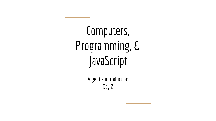Computers, Programming, & JavaScript

> A gentle introduction Day 2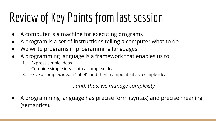# Review of Key Points from last session

- A computer is a machine for executing programs
- A program is a set of instructions telling a computer what to do
- We write programs in programming languages
- A programming language is a framework that enables us to:
	- 1. Express simple ideas
	- 2. Combine simple ideas into a complex idea
	- 3. Give a complex idea a "label", and then manipulate it as a simple idea

*...and, thus, we manage complexity*

A programming language has precise form (syntax) and precise meaning (semantics).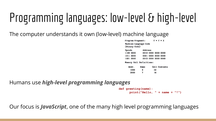# Programming languages: low-level & high-level

The computer understands it own (low-level) machine language

| Program Fragment:                      |         |                     | $Y = Y + X$ |                                                                                           |
|----------------------------------------|---------|---------------------|-------------|-------------------------------------------------------------------------------------------|
| Machine Language Code<br>(Binary Code) |         |                     |             |                                                                                           |
| <b>Dpcode</b>                          | Address |                     |             |                                                                                           |
| 1100 0000                              |         | 0010 0000 0000 0000 |             |                                                                                           |
| 1011 0000                              |         | 0001 0000 0000 0000 |             |                                                                                           |
| 1001 0000                              |         | 0010 0000 0000 0000 |             |                                                                                           |
| Memory Cell Definitions:               |         |                     |             |                                                                                           |
| The Court and Court                    |         |                     |             | The company of the company of the company of the company of the company of the company of |

| Addr. | Name | Cell Contents |
|-------|------|---------------|
| 1000  | х    | 32            |
| 2000  | γ    | 16            |

Humans use *high-level programming languages*

```
def greeting(name):
print("Hello, " + name + "!")
```
Our focus is *JavaScript*, one of the many high level programming languages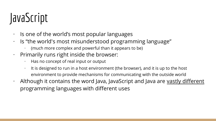### JavaScript

- · Is one of the world's most popular languages
- · Is "the world's most misunderstood programming language"
	- · (much more complex and powerful than it appears to be)
- · Primarily runs right inside the browser:
	- · Has no concept of real input or output
	- $\cdot$  It is designed to run in a host environment (the browser), and it is up to the host environment to provide mechanisms for communicating with the outside world
- $\cdot$  Although it contains the word Java, JavaScript and Java are vastly different programming languages with different uses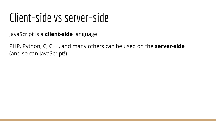#### Client-side vs server-side

JavaScript is a **client-side** language

PHP, Python, C, C++, and many others can be used on the **server-side** (and so can JavaScript!)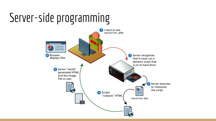#### Server-side programming

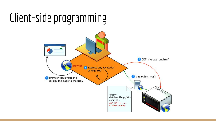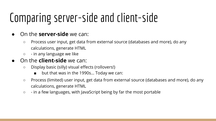#### Comparing server-side and client-side

- On the **server-side** we can:
	- Process user input, get data from external source (databases and more), do any calculations, generate HTML
	- - in any language we like
- On the **client-side** we can:
	- Display basic (silly) visual effects (rollovers!)
		- but that was in the 1990s... Today we can:
	- Process (limited) user input, get data from external source (databases and more), do any calculations, generate HTML
	- - in a few languages, with JavaScript being by far the most portable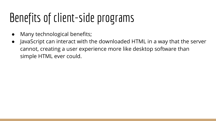## Benefits of client-side programs

- Many technological benefits;
- JavaScript can interact with the downloaded HTML in a way that the server cannot, creating a user experience more like desktop software than simple HTML ever could.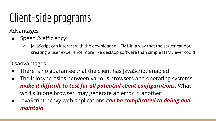#### Client-side programs

Advantages

- Speed & efficiency:
	- JavaScript can interact with the downloaded HTML in a way that the server cannot, creating a user experience more like desktop software than simple HTML ever could

#### Disadvantages

- There is no guarantee that the client has JavaScript enabled
- The idiosyncrasies between various browsers and operating systems *make it difficult to test for all potential client configurations*. What works in one browser, may generate an error in another
- JavaScript-heavy web applications *can be complicated to debug and maintain*